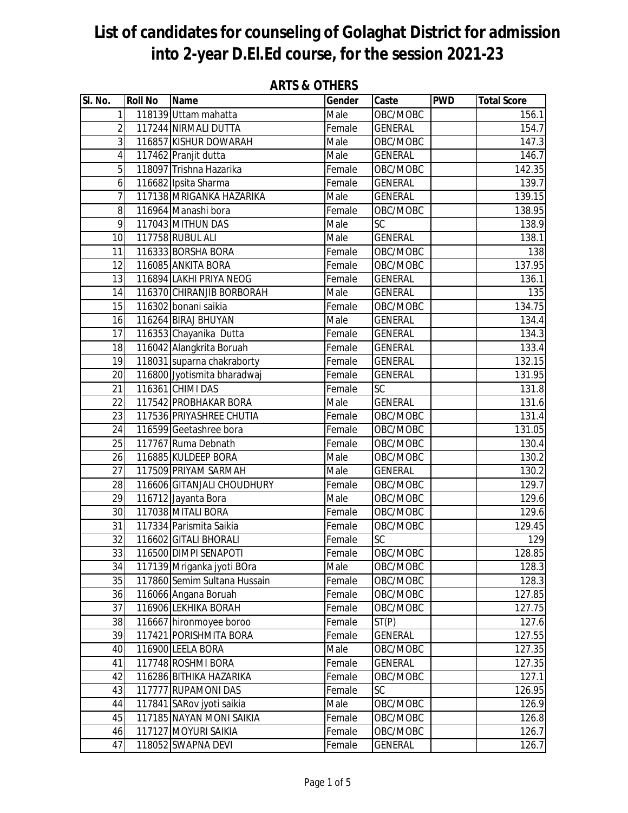| SI. No.         | <b>Roll No</b> | <b>Name</b>                  | Gender | Caste           | <b>PWD</b> | <b>Total Score</b> |
|-----------------|----------------|------------------------------|--------|-----------------|------------|--------------------|
| 1               |                | 118139 Uttam mahatta         | Male   | OBC/MOBC        |            | 156.1              |
| $\overline{2}$  |                | 117244 NIRMALI DUTTA         | Female | <b>GENERAL</b>  |            | 154.7              |
| 3               |                | 116857 KISHUR DOWARAH        | Male   | OBC/MOBC        |            | 147.3              |
| 4               |                | 117462 Pranjit dutta         | Male   | <b>GENERAL</b>  |            | 146.7              |
| 5               |                | 118097 Trishna Hazarika      | Female | OBC/MOBC        |            | 142.35             |
| 6 <sup>1</sup>  |                | 116682 Ipsita Sharma         | Female | <b>GENERAL</b>  |            | 139.7              |
| 7               |                | 117138 MRIGANKA HAZARIKA     | Male   | <b>GENERAL</b>  |            | 139.15             |
| 8               |                | 116964 Manashi bora          | Female | OBC/MOBC        |            | 138.95             |
| 9               |                | 117043 MITHUN DAS            | Male   | SC              |            | 138.9              |
| 10              |                | 117758 RUBUL ALI             | Male   | <b>GENERAL</b>  |            | 138.1              |
| 11              |                | 116333 BORSHA BORA           | Female | OBC/MOBC        |            | 138                |
| 12              |                | 116085 ANKITA BORA           | Female | OBC/MOBC        |            | 137.95             |
| 13              |                | 116894 LAKHI PRIYA NEOG      | Female | <b>GENERAL</b>  |            | 136.1              |
| 14              |                | 116370 CHIRANJIB BORBORAH    | Male   | <b>GENERAL</b>  |            | 135                |
| 15              |                | 116302 bonani saikia         | Female | OBC/MOBC        |            | 134.75             |
| $\overline{16}$ |                | 116264 BIRAJ BHUYAN          | Male   | <b>GENERAL</b>  |            | 134.4              |
| 17              |                | 116353 Chayanika Dutta       | Female | <b>GENERAL</b>  |            | 134.3              |
| 18              |                | 116042 Alangkrita Boruah     | Female | <b>GENERAL</b>  |            | 133.4              |
| 19              |                | 118031 suparna chakraborty   | Female | <b>GENERAL</b>  |            | 132.15             |
| 20              |                | 116800 Jyotismita bharadwaj  | Female | <b>GENERAL</b>  |            | 131.95             |
| 21              |                | 116361 CHIMI DAS             | Female | SC              |            | 131.8              |
| 22              |                | 117542 PROBHAKAR BORA        | Male   | <b>GENERAL</b>  |            | 131.6              |
| 23              |                | 117536 PRIYASHREE CHUTIA     | Female | OBC/MOBC        |            | 131.4              |
| 24              |                | 116599 Geetashree bora       | Female | OBC/MOBC        |            | 131.05             |
| 25              |                | 117767 Ruma Debnath          | Female | OBC/MOBC        |            | 130.4              |
| 26              |                | 116885 KULDEEP BORA          | Male   | OBC/MOBC        |            | 130.2              |
| 27              |                | 117509 PRIYAM SARMAH         | Male   | <b>GENERAL</b>  |            | 130.2              |
| 28              |                | 116606 GITANJALI CHOUDHURY   | Female | OBC/MOBC        |            | 129.7              |
| 29              |                | 116712 Jayanta Bora          | Male   | OBC/MOBC        |            | 129.6              |
| 30              |                | 117038 MITALI BORA           | Female | OBC/MOBC        |            | 129.6              |
| 31              |                | 117334 Parismita Saikia      | Female | OBC/MOBC        |            | 129.45             |
| 32              |                | 116602 GITALI BHORALI        | Female | $\overline{SC}$ |            | 129                |
| 33              |                | 116500 DIMPI SENAPOTI        | Female | OBC/MOBC        |            | 128.85             |
| 34              |                | 117139 Mriganka jyoti BOra   | Male   | OBC/MOBC        |            | 128.3              |
| 35              |                | 117860 Semim Sultana Hussain | Female | OBC/MOBC        |            | 128.3              |
| 36              |                | 116066 Angana Boruah         | Female | OBC/MOBC        |            | 127.85             |
| 37              |                | 116906 LEKHIKA BORAH         | Female | OBC/MOBC        |            | 127.75             |
| 38              |                | 116667 hironmoyee boroo      | Female | ST(P)           |            | 127.6              |
| 39              |                | 117421 PORISHMITA BORA       | Female | <b>GENERAL</b>  |            | 127.55             |
| 40              |                | 116900 LEELA BORA            | Male   | OBC/MOBC        |            | 127.35             |
| 41              |                | 117748 ROSHMI BORA           | Female | <b>GENERAL</b>  |            | 127.35             |
| 42              |                | 116286 BITHIKA HAZARIKA      | Female | OBC/MOBC        |            | 127.1              |
| 43              |                | 117777 RUPAMONI DAS          | Female | SC              |            | 126.95             |
| 44              |                | 117841 SARov jyoti saikia    | Male   | OBC/MOBC        |            | 126.9              |
| 45              |                | 117185 NAYAN MONI SAIKIA     | Female | OBC/MOBC        |            | 126.8              |
| 46              |                | 117127 MOYURI SAIKIA         | Female | OBC/MOBC        |            | 126.7              |
| 47              |                | 118052 SWAPNA DEVI           | Female | <b>GENERAL</b>  |            | 126.7              |

### **ARTS & OTHERS**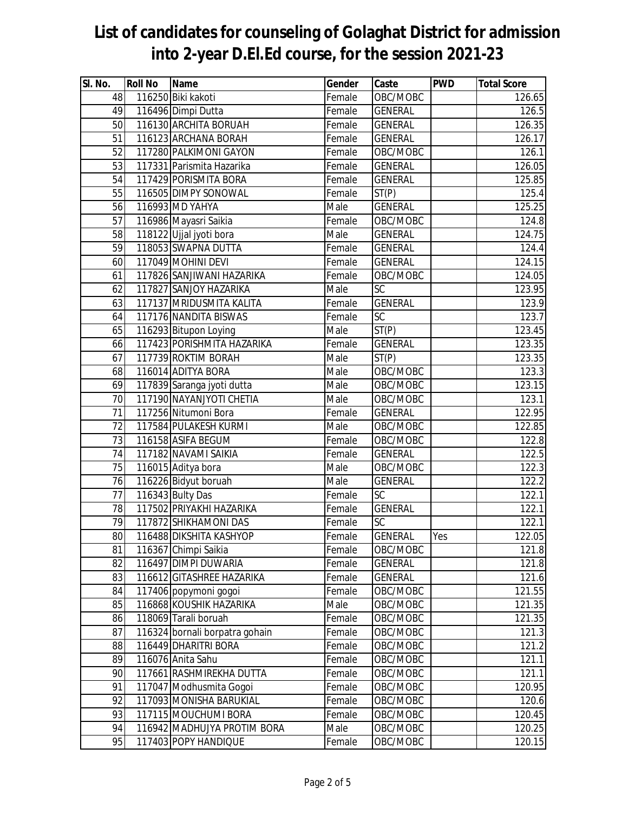| SI. No.  | <b>Roll No</b> | <b>Name</b>                                  | Gender         | Caste                      | <b>PWD</b> | <b>Total Score</b> |
|----------|----------------|----------------------------------------------|----------------|----------------------------|------------|--------------------|
| 48       |                | 116250 Biki kakoti                           | Female         | OBC/MOBC                   |            | 126.65             |
| 49       |                | 116496 Dimpi Dutta                           | Female         | <b>GENERAL</b>             |            | 126.5              |
| 50       |                | 116130 ARCHITA BORUAH                        | Female         | <b>GENERAL</b>             |            | 126.35             |
| 51       |                | 116123 ARCHANA BORAH                         | Female         | <b>GENERAL</b>             |            | 126.17             |
| 52       |                | 117280 PALKIMONI GAYON                       | Female         | OBC/MOBC                   |            | 126.1              |
| 53       |                | 117331 Parismita Hazarika                    | Female         | <b>GENERAL</b>             |            | 126.05             |
| 54       |                | 117429 PORISMITA BORA                        | Female         | <b>GENERAL</b>             |            | 125.85             |
| 55       |                | 116505 DIMPY SONOWAL                         | Female         | ST(P)                      |            | 125.4              |
| 56       |                | 116993 MD YAHYA                              | Male           | <b>GENERAL</b>             |            | 125.25             |
| 57       |                | 116986 Mayasri Saikia                        | Female         | OBC/MOBC                   |            | 124.8              |
| 58       |                | 118122 Ujjal jyoti bora                      | Male           | <b>GENERAL</b>             |            | 124.75             |
| 59       |                | 118053 SWAPNA DUTTA                          | Female         | <b>GENERAL</b>             |            | 124.4              |
| 60       |                | 117049 MOHINI DEVI                           | Female         | <b>GENERAL</b>             |            | 124.15             |
| 61       |                | 117826 SANJIWANI HAZARIKA                    | Female         | OBC/MOBC                   |            | 124.05             |
| 62       |                | 117827 SANJOY HAZARIKA                       | Male           | $\overline{SC}$            |            | 123.95             |
| 63       |                | 117137 MRIDUSMITA KALITA                     | Female         | <b>GENERAL</b>             |            | 123.9              |
| 64       |                | 117176 NANDITA BISWAS                        | Female         | SC                         |            | 123.7              |
| 65       |                | 116293 Bitupon Loying                        | Male           | ST(P)                      |            | 123.45             |
| 66       |                | 117423 PORISHMITA HAZARIKA                   | Female         | <b>GENERAL</b>             |            | 123.35             |
| 67       |                | 117739 ROKTIM BORAH                          | Male           | $\overline{ST}(P)$         |            | 123.35             |
| 68       |                | 116014 ADITYA BORA                           | Male           | OBC/MOBC                   |            | 123.3              |
| 69       |                | 117839 Saranga jyoti dutta                   | Male           | OBC/MOBC                   |            | 123.15             |
| 70       |                | 117190 NAYANJYOTI CHETIA                     | Male           | OBC/MOBC                   |            | 123.1              |
| 71       |                | 117256 Nitumoni Bora                         | Female         | <b>GENERAL</b>             |            | 122.95             |
| 72       |                | 117584 PULAKESH KURMI                        | Male           | OBC/MOBC                   |            | 122.85             |
| 73       |                | 116158 ASIFA BEGUM                           | Female         | OBC/MOBC                   |            | 122.8              |
| 74<br>75 |                | 117182 NAVAMI SAIKIA                         | Female<br>Male | <b>GENERAL</b><br>OBC/MOBC |            | 122.5<br>122.3     |
| 76       |                | 116015 Aditya bora<br>116226 Bidyut boruah   | Male           |                            |            | 122.2              |
| 77       |                |                                              | Female         | <b>GENERAL</b><br>SC       |            | 122.1              |
| 78       |                | 116343 Bulty Das<br>117502 PRIYAKHI HAZARIKA | Female         | <b>GENERAL</b>             |            | 122.1              |
| 79       |                | 117872 SHIKHAMONI DAS                        | Female         | SC                         |            | 122.1              |
| 80       |                | 116488 DIKSHITA KASHYOP                      | Female         | GENERAL                    | Yes        | 122.05             |
| 81       |                | 116367 Chimpi Saikia                         | Female         | OBC/MOBC                   |            | 121.8              |
| 82       |                | 116497 DIMPI DUWARIA                         | Female         | <b>GENERAL</b>             |            | 121.8              |
| 83       |                | 116612 GITASHREE HAZARIKA                    | Female         | <b>GENERAL</b>             |            | 121.6              |
| 84       |                | 117406 popymoni gogoi                        | Female         | OBC/MOBC                   |            | 121.55             |
| 85       |                | 116868 KOUSHIK HAZARIKA                      | Male           | OBC/MOBC                   |            | 121.35             |
| 86       |                | 118069 Tarali boruah                         | Female         | OBC/MOBC                   |            | 121.35             |
| 87       |                | 116324 bornali borpatra gohain               | Female         | OBC/MOBC                   |            | 121.3              |
| 88       |                | 116449 DHARITRI BORA                         | Female         | OBC/MOBC                   |            | 121.2              |
| 89       |                | 116076 Anita Sahu                            | Female         | OBC/MOBC                   |            | 121.1              |
| 90       |                | 117661 RASHMIREKHA DUTTA                     | Female         | OBC/MOBC                   |            | 121.1              |
| 91       |                | 117047 Modhusmita Gogoi                      | Female         | OBC/MOBC                   |            | 120.95             |
| 92       |                | 117093 MONISHA BARUKIAL                      | Female         | OBC/MOBC                   |            | 120.6              |
| 93       |                | 117115 MOUCHUMI BORA                         | Female         | OBC/MOBC                   |            | 120.45             |
| 94       |                | 116942 MADHUJYA PROTIM BORA                  | Male           | OBC/MOBC                   |            | 120.25             |
| 95       |                | 117403 POPY HANDIQUE                         | Female         | OBC/MOBC                   |            | 120.15             |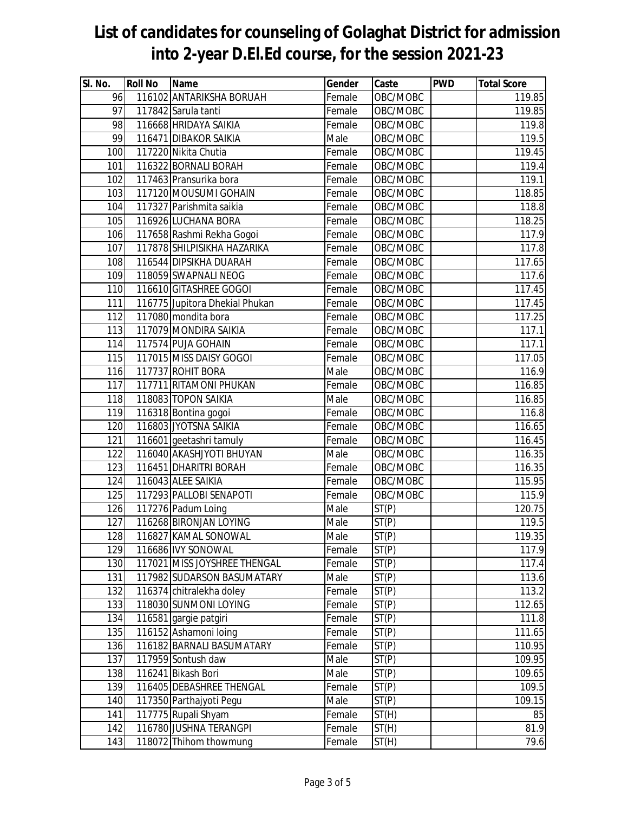#### **into 2-year D.El.Ed course, for the session 2021-23 Sl. No. Roll No Name Gender Caste PWD Total Score** 96 116102 ANTARIKSHA BORUAH Female OBC/MOBC 116102 119.85 97 117842 Sarula tanti 1985 Shemale Remale Record COBC/MOBC 119.85 98 116668 HRIDAYA SAIKIA Female OBC/MOBC 119.8 99 116471 DIBAKOR SAIKIA MALE NA MALE NOBC/MOBC NUMBER 199.5 100 117220 Nikita Chutia Female OBC/MOBC 119.45 101 116322 BORNALI BORAH Female OBC/MOBC 119.4 102 117463 Pransurika bora Female OBC/MOBC 119.1 103 117120 MOUSUMI GOHAIN Female OBC/MOBC 118.85 104 117327 Parishmita saikia Female OBC/MOBC | 118.8 105 116926 LUCHANA BORA Female OBC/MOBC 116926 118.25 106 117658 Rashmi Rekha Gogoi **Female OBC/MOBC** 117.6 117.9 107 117878 SHILPISIKHA HAZARIKA Female OBC/MOBC 117.8 108 116544 DIPSIKHA DUARAH Female OBC/MOBC | 116544 DIPSIKHA DUARAH 109 118059 SWAPNALI NEOG Female OBC/MOBC 117.6 110 116610 GITASHREE GOGOI THE RESERVING RESERVING TO RESERVE THE RESERVE TO A 117.45 111 116775 Jupitora Dhekial Phukan Female OBC/MOBC 117.45 112 117080 mondita bora 117.25 Female OBC/MOBC 117.25 113 117079 MONDIRA SAIKIA Female OBC/MOBC 117.1 114 117574 PUJA GOHAIN Female OBC/MOBC 117.1 115 117015 MISS DAISY GOGOI Female OBC/MOBC 117015 117.05 116 117737 ROHIT BORA Male OBC/MOBC 116.9 117 117711 RITAMONI PHUKAN Female OBC/MOBC 116.85 118 118083 TOPON SAIKIA MALE NAIE OBC/MOBC | 116.85 119 116318 Bontina gogoi **Female OBC/MOBC** 116.8 120 116803 JYOTSNA SAIKIA Female OBC/MOBC 116.65 121 116601 geetashri tamuly Temale OBC/MOBC | 116.45 122 116040 AKASHJYOTI BHUYAN Male OBC/MOBC 116.35 123 116451 DHARITRI BORAH Female OBC/MOBC 116451 DHARITRI BORAH 124 116043 ALEE SAIKIA Female OBC/MOBC 115.95 125 117293 PALLOBI SENAPOTI Female OBC/MOBC | 117293 PALLOBI SENAPOTI 126 117276 Padum Loing Male ST(P) 120.75 127 116268 BIRONJAN LOYING Male ST(P) 119.5 128 116827 KAMAL SONOWAL Male ST(P) 119.35 129 116686 IVY SONOWAL Female ST(P) 117.9 130 117021 MISS JOYSHREE THENGAL Female ST(P) 117.4 131 117982 SUDARSON BASUMATARY Male ST(P) 113.6 132 116374 chitralekha doley Female ST(P) | 113.2 133 118030 SUNMONI LOYING Female ST(P) | 112.65 134 116581 gargie patgiri Female ST(P) 111.8 135 116152 Ashamoni loing Female ST(P) | 111.65 136 116182 BARNALI BASUMATARY Female ST(P) | 110.95 137 117959 Sontush daw Male ST(P) 109.95 138 116241 Bikash Bori Male ST(P) 109.65

# **List of candidates for counseling of Golaghat District for admission**

139 116405 DEBASHREE THENGAL Female ST(P) | 109.5 140 117350 Parthajyoti Pegu Male ST(P) 109.15 141 117775 Rupali Shyam Female ST(H) 85 142 116780 JUSHNA TERANGPI Female ST(H) 81.9 143 118072 Thihom thowmung Female ST(H) | 79.6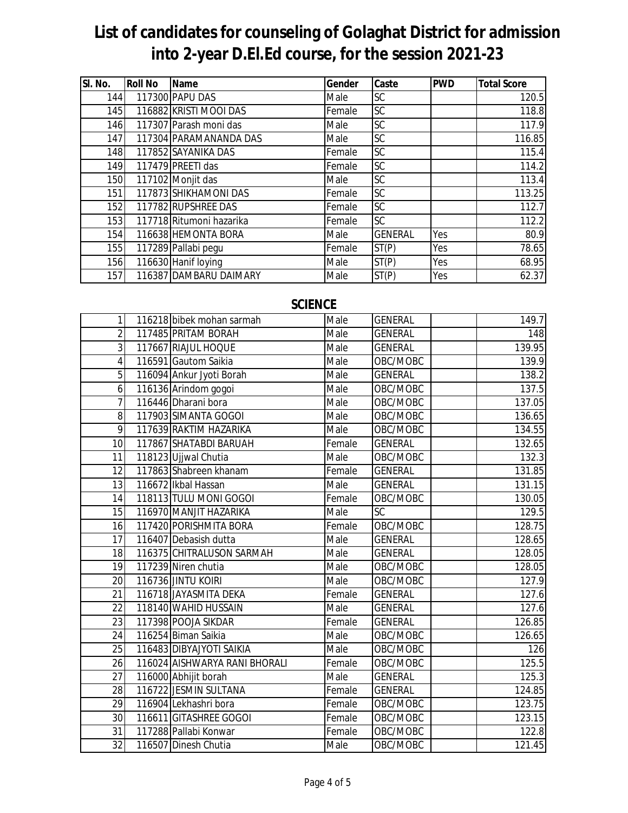| SI. No. | <b>Roll No</b> | <b>Name</b>              | Gender | Caste          | <b>PWD</b> | <b>Total Score</b> |
|---------|----------------|--------------------------|--------|----------------|------------|--------------------|
| 144     |                | 117300 PAPU DAS          | Male   | <b>SC</b>      |            | 120.5              |
| 145     |                | 116882 KRISTI MOOI DAS   | Female | SC             |            | 118.8              |
| 146     |                | 117307 Parash moni das   | Male   | <b>SC</b>      |            | 117.9              |
| 147     |                | 117304 PARAMANANDA DAS   | Male   | SC             |            | 116.85             |
| 148     |                | 117852 SAYANIKA DAS      | Female | <b>SC</b>      |            | 115.4              |
| 149     |                | 117479 PREETI das        | Female | SC             |            | 114.2              |
| 150     |                | 117102 Monjit das        | Male   | <b>SC</b>      |            | 113.4              |
| 151     |                | 117873 SHIKHAMONI DAS    | Female | <b>SC</b>      |            | 113.25             |
| 152     |                | 117782 RUPSHREE DAS      | Female | SC             |            | 112.7              |
| 153     |                | 117718 Ritumoni hazarika | Female | <b>SC</b>      |            | 112.2              |
| 154     |                | 116638 HEMONTA BORA      | Male   | <b>GENERAL</b> | Yes        | 80.9               |
| 155     |                | 117289 Pallabi pegu      | Female | ST(P)          | Yes        | 78.65              |
| 156     |                | 116630 Hanif loying      | Male   | ST(P)          | Yes        | 68.95              |
| 157     |                | 116387 DAMBARU DAIMARY   | Male   | ST(P)          | Yes        | 62.37              |

### **SCIENCE**

| $\mathbf{1}$   | 116218 bibek mohan sarmah     | Male   | <b>GENERAL</b> | 149.7  |
|----------------|-------------------------------|--------|----------------|--------|
| $\overline{2}$ | 117485 PRITAM BORAH           | Male   | <b>GENERAL</b> | 148    |
| 3              | 117667 RIAJUL HOQUE           | Male   | <b>GENERAL</b> | 139.95 |
| $\overline{4}$ | 116591 Gautom Saikia          | Male   | OBC/MOBC       | 139.9  |
| 5              | 116094 Ankur Jyoti Borah      | Male   | <b>GENERAL</b> | 138.2  |
| 6              | 116136 Arindom gogoi          | Male   | OBC/MOBC       | 137.5  |
| $\overline{7}$ | 116446 Dharani bora           | Male   | OBC/MOBC       | 137.05 |
| 8              | 117903 SIMANTA GOGOI          | Male   | OBC/MOBC       | 136.65 |
| 9              | 117639 RAKTIM HAZARIKA        | Male   | OBC/MOBC       | 134.55 |
| 10             | 117867 SHATABDI BARUAH        | Female | <b>GENERAL</b> | 132.65 |
| 11             | 118123 Ujjwal Chutia          | Male   | OBC/MOBC       | 132.3  |
| 12             | 117863 Shabreen khanam        | Female | <b>GENERAL</b> | 131.85 |
| 13             | 116672 Ikbal Hassan           | Male   | <b>GENERAL</b> | 131.15 |
| 14             | 118113 TULU MONI GOGOI        | Female | OBC/MOBC       | 130.05 |
| 15             | 116970 MANJIT HAZARIKA        | Male   | <b>SC</b>      | 129.5  |
| 16             | 117420 PORISHMITA BORA        | Female | OBC/MOBC       | 128.75 |
| 17             | 116407 Debasish dutta         | Male   | <b>GENERAL</b> | 128.65 |
| 18             | 116375 CHITRALUSON SARMAH     | Male   | <b>GENERAL</b> | 128.05 |
| 19             | 117239 Niren chutia           | Male   | OBC/MOBC       | 128.05 |
| 20             | 116736 JINTU KOIRI            | Male   | OBC/MOBC       | 127.9  |
| 21             | 116718 JAYASMITA DEKA         | Female | <b>GENERAL</b> | 127.6  |
| 22             | 118140 WAHID HUSSAIN          | Male   | <b>GENERAL</b> | 127.6  |
| 23             | 117398 POOJA SIKDAR           | Female | <b>GENERAL</b> | 126.85 |
| 24             | 116254 Biman Saikia           | Male   | OBC/MOBC       | 126.65 |
| 25             | 116483 DIBYAJYOTI SAIKIA      | Male   | OBC/MOBC       | 126    |
| 26             | 116024 AISHWARYA RANI BHORALI | Female | OBC/MOBC       | 125.5  |
| 27             | 116000 Abhijit borah          | Male   | <b>GENERAL</b> | 125.3  |
| 28             | 116722 JESMIN SULTANA         | Female | <b>GENERAL</b> | 124.85 |
| 29             | 116904 Lekhashri bora         | Female | OBC/MOBC       | 123.75 |
| 30             | 116611 GITASHREE GOGOI        | Female | OBC/MOBC       | 123.15 |
| 31             | 117288 Pallabi Konwar         | Female | OBC/MOBC       | 122.8  |
| 32             | 116507 Dinesh Chutia          | Male   | OBC/MOBC       | 121.45 |